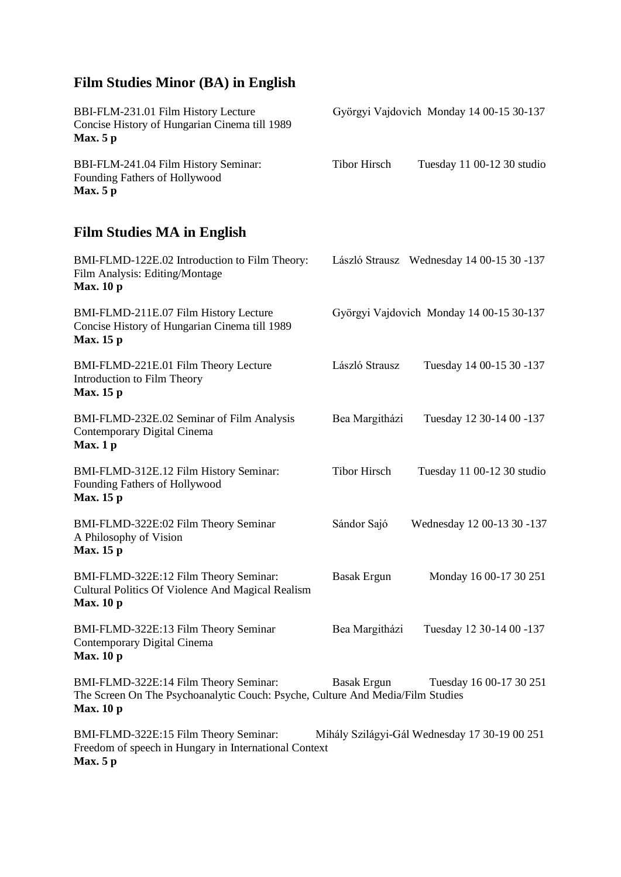## **Film Studies Minor (BA) in English**

| BBI-FLM-231.01 Film History Lecture<br>Concise History of Hungarian Cinema till 1989<br>Max.5p                                              |                     | Györgyi Vajdovich Monday 14 00-15 30-137      |  |
|---------------------------------------------------------------------------------------------------------------------------------------------|---------------------|-----------------------------------------------|--|
| BBI-FLM-241.04 Film History Seminar:<br>Founding Fathers of Hollywood<br>Max.5p                                                             | <b>Tibor Hirsch</b> | Tuesday 11 00-12 30 studio                    |  |
| <b>Film Studies MA in English</b>                                                                                                           |                     |                                               |  |
| BMI-FLMD-122E.02 Introduction to Film Theory:<br>Film Analysis: Editing/Montage<br><b>Max.</b> 10 p                                         |                     | László Strausz Wednesday 14 00-15 30 -137     |  |
| BMI-FLMD-211E.07 Film History Lecture<br>Concise History of Hungarian Cinema till 1989<br>Max. 15 p                                         |                     | Györgyi Vajdovich Monday 14 00-15 30-137      |  |
| BMI-FLMD-221E.01 Film Theory Lecture<br>Introduction to Film Theory<br>Max. 15 p                                                            | László Strausz      | Tuesday 14 00-15 30 -137                      |  |
| BMI-FLMD-232E.02 Seminar of Film Analysis<br>Contemporary Digital Cinema<br>Max. $1p$                                                       | Bea Margitházi      | Tuesday 12 30-14 00 -137                      |  |
| BMI-FLMD-312E.12 Film History Seminar:<br>Founding Fathers of Hollywood<br>Max. 15 p                                                        | <b>Tibor Hirsch</b> | Tuesday 11 00-12 30 studio                    |  |
| BMI-FLMD-322E:02 Film Theory Seminar<br>A Philosophy of Vision<br>Max. 15 p                                                                 | Sándor Sajó         | Wednesday 12 00-13 30 -137                    |  |
| BMI-FLMD-322E:12 Film Theory Seminar:<br>Cultural Politics Of Violence And Magical Realism<br><b>Max. 10 p</b>                              | <b>Basak Ergun</b>  | Monday 16 00-17 30 251                        |  |
| BMI-FLMD-322E:13 Film Theory Seminar<br>Contemporary Digital Cinema<br><b>Max. 10 p</b>                                                     | Bea Margitházi      | Tuesday 12 30-14 00 -137                      |  |
| BMI-FLMD-322E:14 Film Theory Seminar:<br>The Screen On The Psychoanalytic Couch: Psyche, Culture And Media/Film Studies<br><b>Max.</b> 10 p | <b>Basak Ergun</b>  | Tuesday 16 00-17 30 251                       |  |
| BMI-FLMD-322E:15 Film Theory Seminar:<br>Freedom of speech in Hungary in International Context<br>Max.5p                                    |                     | Mihály Szilágyi-Gál Wednesday 17 30-19 00 251 |  |